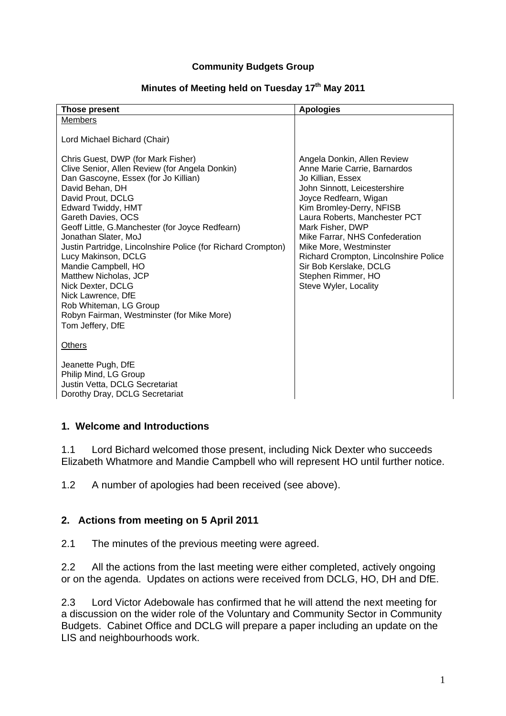#### **Community Budgets Group**

### Minutes of Meeting held on Tuesday 17<sup>th</sup> May 2011

| <b>Those present</b>                                                                                                                                                                                                                                                                                                                                                                                                                                                                                                                                                      | <b>Apologies</b>                                                                                                                                                                                                                                                                                                                                                                                         |
|---------------------------------------------------------------------------------------------------------------------------------------------------------------------------------------------------------------------------------------------------------------------------------------------------------------------------------------------------------------------------------------------------------------------------------------------------------------------------------------------------------------------------------------------------------------------------|----------------------------------------------------------------------------------------------------------------------------------------------------------------------------------------------------------------------------------------------------------------------------------------------------------------------------------------------------------------------------------------------------------|
| <b>Members</b>                                                                                                                                                                                                                                                                                                                                                                                                                                                                                                                                                            |                                                                                                                                                                                                                                                                                                                                                                                                          |
| Lord Michael Bichard (Chair)                                                                                                                                                                                                                                                                                                                                                                                                                                                                                                                                              |                                                                                                                                                                                                                                                                                                                                                                                                          |
| Chris Guest, DWP (for Mark Fisher)<br>Clive Senior, Allen Review (for Angela Donkin)<br>Dan Gascoyne, Essex (for Jo Killian)<br>David Behan, DH<br>David Prout, DCLG<br>Edward Twiddy, HMT<br>Gareth Davies, OCS<br>Geoff Little, G.Manchester (for Joyce Redfearn)<br>Jonathan Slater, MoJ<br>Justin Partridge, Lincolnshire Police (for Richard Crompton)<br>Lucy Makinson, DCLG<br>Mandie Campbell, HO<br>Matthew Nicholas, JCP<br>Nick Dexter, DCLG<br>Nick Lawrence, DfE<br>Rob Whiteman, LG Group<br>Robyn Fairman, Westminster (for Mike More)<br>Tom Jeffery, DfE | Angela Donkin, Allen Review<br>Anne Marie Carrie, Barnardos<br>Jo Killian, Essex<br>John Sinnott, Leicestershire<br>Joyce Redfearn, Wigan<br>Kim Bromley-Derry, NFISB<br>Laura Roberts, Manchester PCT<br>Mark Fisher, DWP<br>Mike Farrar, NHS Confederation<br>Mike More, Westminster<br>Richard Crompton, Lincolnshire Police<br>Sir Bob Kerslake, DCLG<br>Stephen Rimmer, HO<br>Steve Wyler, Locality |
| <b>Others</b>                                                                                                                                                                                                                                                                                                                                                                                                                                                                                                                                                             |                                                                                                                                                                                                                                                                                                                                                                                                          |
| Jeanette Pugh, DfE<br>Philip Mind, LG Group<br>Justin Vetta, DCLG Secretariat<br>Dorothy Dray, DCLG Secretariat                                                                                                                                                                                                                                                                                                                                                                                                                                                           |                                                                                                                                                                                                                                                                                                                                                                                                          |

#### **1. Welcome and Introductions**

1.1 Lord Bichard welcomed those present, including Nick Dexter who succeeds Elizabeth Whatmore and Mandie Campbell who will represent HO until further notice.

1.2 A number of apologies had been received (see above).

### **2. Actions from meeting on 5 April 2011**

2.1 The minutes of the previous meeting were agreed.

2.2 All the actions from the last meeting were either completed, actively ongoing or on the agenda. Updates on actions were received from DCLG, HO, DH and DfE.

2.3 Lord Victor Adebowale has confirmed that he will attend the next meeting for a discussion on the wider role of the Voluntary and Community Sector in Community Budgets. Cabinet Office and DCLG will prepare a paper including an update on the LIS and neighbourhoods work.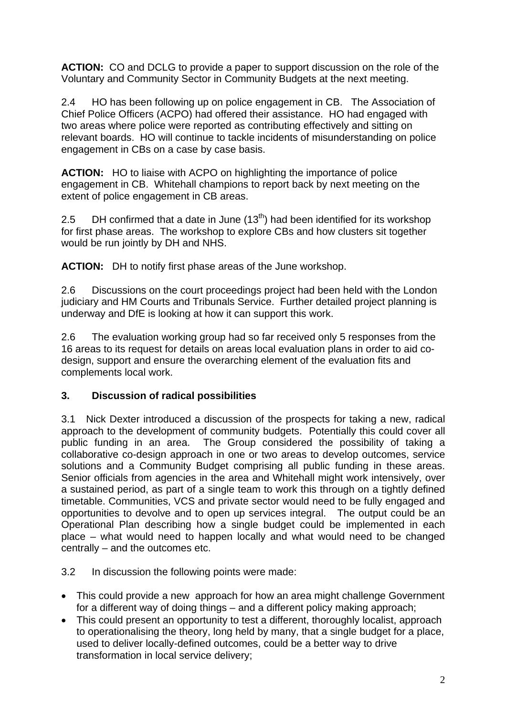**ACTION:** CO and DCLG to provide a paper to support discussion on the role of the Voluntary and Community Sector in Community Budgets at the next meeting.

2.4 HO has been following up on police engagement in CB. The Association of Chief Police Officers (ACPO) had offered their assistance. HO had engaged with two areas where police were reported as contributing effectively and sitting on relevant boards. HO will continue to tackle incidents of misunderstanding on police engagement in CBs on a case by case basis.

**ACTION:** HO to liaise with ACPO on highlighting the importance of police engagement in CB. Whitehall champions to report back by next meeting on the extent of police engagement in CB areas.

2.5 DH confirmed that a date in June  $(13<sup>th</sup>)$  had been identified for its workshop for first phase areas. The workshop to explore CBs and how clusters sit together would be run jointly by DH and NHS.

**ACTION:** DH to notify first phase areas of the June workshop.

2.6 Discussions on the court proceedings project had been held with the London judiciary and HM Courts and Tribunals Service. Further detailed project planning is underway and DfE is looking at how it can support this work.

2.6 The evaluation working group had so far received only 5 responses from the 16 areas to its request for details on areas local evaluation plans in order to aid codesign, support and ensure the overarching element of the evaluation fits and complements local work.

# **3. Discussion of radical possibilities**

3.1 Nick Dexter introduced a discussion of the prospects for taking a new, radical approach to the development of community budgets. Potentially this could cover all public funding in an area. The Group considered the possibility of taking a collaborative co-design approach in one or two areas to develop outcomes, service solutions and a Community Budget comprising all public funding in these areas. Senior officials from agencies in the area and Whitehall might work intensively, over a sustained period, as part of a single team to work this through on a tightly defined timetable. Communities, VCS and private sector would need to be fully engaged and opportunities to devolve and to open up services integral. The output could be an Operational Plan describing how a single budget could be implemented in each place – what would need to happen locally and what would need to be changed centrally – and the outcomes etc.

## 3.2 In discussion the following points were made:

- This could provide a new approach for how an area might challenge Government for a different way of doing things – and a different policy making approach;
- This could present an opportunity to test a different, thoroughly localist, approach to operationalising the theory, long held by many, that a single budget for a place, used to deliver locally-defined outcomes, could be a better way to drive transformation in local service delivery;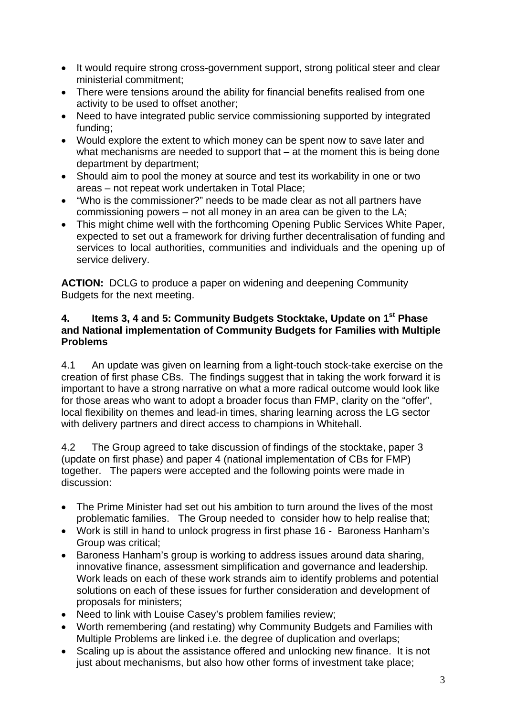- It would require strong cross-government support, strong political steer and clear ministerial commitment;
- There were tensions around the ability for financial benefits realised from one activity to be used to offset another;
- Need to have integrated public service commissioning supported by integrated funding;
- Would explore the extent to which money can be spent now to save later and what mechanisms are needed to support that – at the moment this is being done department by department;
- Should aim to pool the money at source and test its workability in one or two areas – not repeat work undertaken in Total Place;
- "Who is the commissioner?" needs to be made clear as not all partners have commissioning powers – not all money in an area can be given to the LA;
- This might chime well with the forthcoming Opening Public Services White Paper, expected to set out a framework for driving further decentralisation of funding and services to local authorities, communities and individuals and the opening up of service delivery.

**ACTION:** DCLG to produce a paper on widening and deepening Community Budgets for the next meeting.

## **4. Items 3, 4 and 5: Community Budgets Stocktake, Update on 1st Phase and National implementation of Community Budgets for Families with Multiple Problems**

4.1 An update was given on learning from a light-touch stock-take exercise on the creation of first phase CBs. The findings suggest that in taking the work forward it is important to have a strong narrative on what a more radical outcome would look like for those areas who want to adopt a broader focus than FMP, clarity on the "offer", local flexibility on themes and lead-in times, sharing learning across the LG sector with delivery partners and direct access to champions in Whitehall.

4.2 The Group agreed to take discussion of findings of the stocktake, paper 3 (update on first phase) and paper 4 (national implementation of CBs for FMP) together. The papers were accepted and the following points were made in discussion:

- The Prime Minister had set out his ambition to turn around the lives of the most problematic families. The Group needed to consider how to help realise that;
- Work is still in hand to unlock progress in first phase 16 Baroness Hanham's Group was critical;
- Baroness Hanham's group is working to address issues around data sharing, innovative finance, assessment simplification and governance and leadership. Work leads on each of these work strands aim to identify problems and potential solutions on each of these issues for further consideration and development of proposals for ministers;
- Need to link with Louise Casey's problem families review;
- Worth remembering (and restating) why Community Budgets and Families with Multiple Problems are linked i.e. the degree of duplication and overlaps;
- Scaling up is about the assistance offered and unlocking new finance. It is not just about mechanisms, but also how other forms of investment take place;